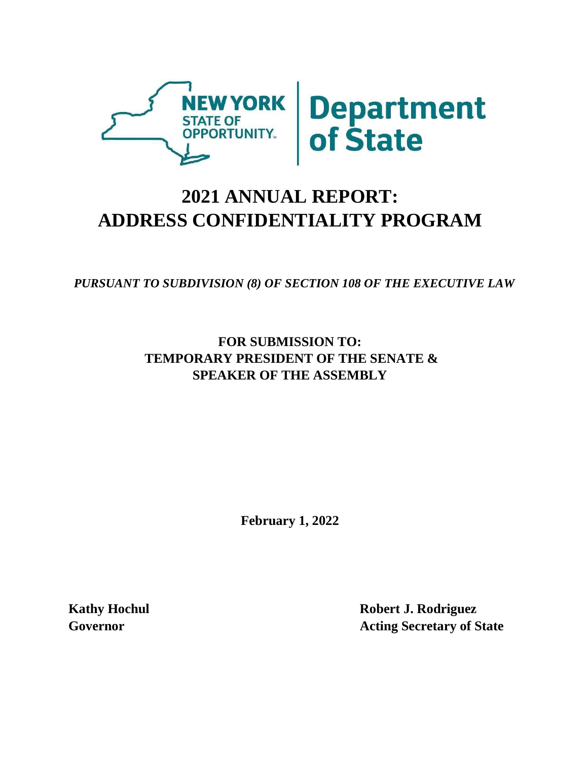

## **2021 ANNUAL REPORT: ADDRESS CONFIDENTIALITY PROGRAM**

*PURSUANT TO SUBDIVISION (8) OF SECTION 108 OF THE EXECUTIVE LAW* 

**FOR SUBMISSION TO: TEMPORARY PRESIDENT OF THE SENATE & SPEAKER OF THE ASSEMBLY** 

**February 1, 2022**

**Kathy Hochul Robert J. Rodriguez Governor Acting Secretary of State**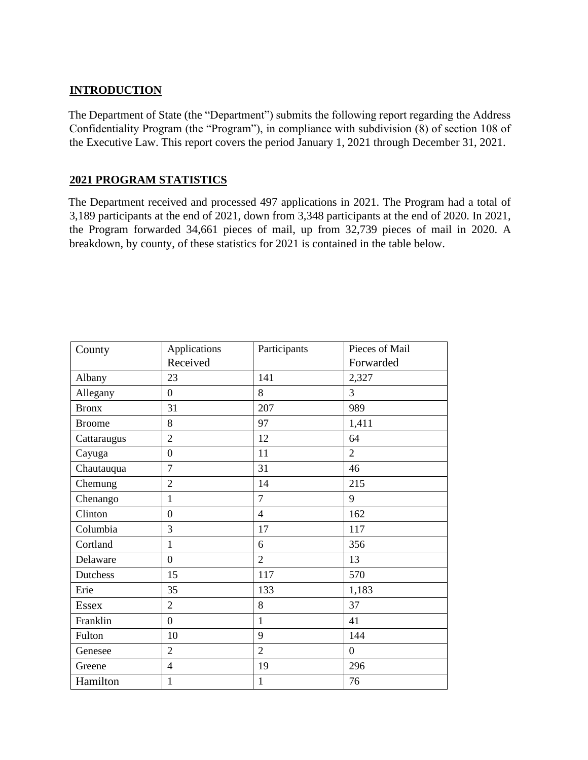## **INTRODUCTION**

The Department of State (the "Department") submits the following report regarding the Address Confidentiality Program (the "Program"), in compliance with subdivision (8) of section 108 of the Executive Law. This report covers the period January 1, 2021 through December 31, 2021.

## **2021 PROGRAM STATISTICS**

The Department received and processed 497 applications in 2021. The Program had a total of 3,189 participants at the end of 2021, down from 3,348 participants at the end of 2020. In 2021, the Program forwarded 34,661 pieces of mail, up from 32,739 pieces of mail in 2020. A breakdown, by county, of these statistics for 2021 is contained in the table below.

| County        | Applications     | Participants   | Pieces of Mail   |
|---------------|------------------|----------------|------------------|
|               | Received         |                | Forwarded        |
| Albany        | 23               | 141            | 2,327            |
| Allegany      | $\overline{0}$   | 8              | 3                |
| <b>Bronx</b>  | 31               | 207            | 989              |
| <b>Broome</b> | 8                | 97             | 1,411            |
| Cattaraugus   | $\overline{2}$   | 12             | 64               |
| Cayuga        | $\overline{0}$   | 11             | $\overline{2}$   |
| Chautauqua    | $\overline{7}$   | 31             | 46               |
| Chemung       | $\overline{2}$   | 14             | 215              |
| Chenango      | $\mathbf{1}$     | $\overline{7}$ | 9                |
| Clinton       | $\theta$         | $\overline{4}$ | 162              |
| Columbia      | $\overline{3}$   | 17             | 117              |
| Cortland      | $\mathbf{1}$     | 6              | 356              |
| Delaware      | $\overline{0}$   | $\overline{2}$ | 13               |
| Dutchess      | 15               | 117            | 570              |
| Erie          | 35               | 133            | 1,183            |
| <b>Essex</b>  | $\overline{2}$   | 8              | 37               |
| Franklin      | $\boldsymbol{0}$ | $\mathbf{1}$   | 41               |
| Fulton        | 10               | 9              | 144              |
| Genesee       | $\overline{2}$   | $\overline{2}$ | $\boldsymbol{0}$ |
| Greene        | $\overline{4}$   | 19             | 296              |
| Hamilton      | $\mathbf{1}$     | $\mathbf{1}$   | 76               |